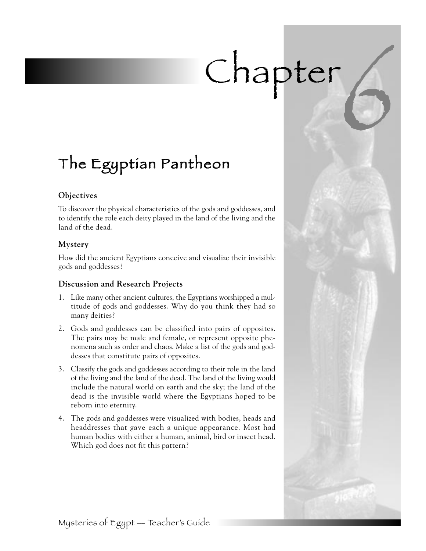# Chapter

# The Egyptian Pantheon

#### **Objectives**

To discover the physical characteristics of the gods and goddesses, and to identify the role each deity played in the land of the living and the land of the dead.

#### **Mystery**

How did the ancient Egyptians conceive and visualize their invisible gods and goddesses?

#### **Discussion and Research Projects**

- 1. Like many other ancient cultures, the Egyptians worshipped a multitude of gods and goddesses. Why do you think they had so many deities?
- 2. Gods and goddesses can be classified into pairs of opposites. The pairs may be male and female, or represent opposite phenomena such as order and chaos. Make a list of the gods and goddesses that constitute pairs of opposites.
- 3. Classify the gods and goddesses according to their role in the land of the living and the land of the dead. The land of the living would include the natural world on earth and the sky; the land of the dead is the invisible world where the Egyptians hoped to be reborn into eternity.
- 4. The gods and goddesses were visualized with bodies, heads and headdresses that gave each a unique appearance. Most had human bodies with either a human, animal, bird or insect head. Which god does not fit this pattern?

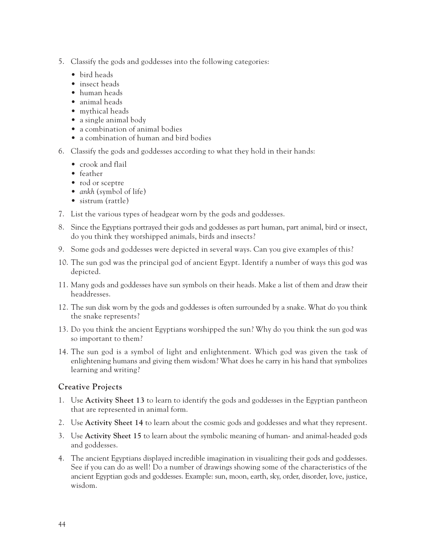- 5. Classify the gods and goddesses into the following categories:
	- bird heads
	- insect heads
	- human heads
	- animal heads
	- mythical heads
	- a single animal body
	- a combination of animal bodies
	- a combination of human and bird bodies
- 6. Classify the gods and goddesses according to what they hold in their hands:
	- crook and flail
	- feather
	- rod or sceptre
	- *ankh* (symbol of life)
	- sistrum (rattle)
- 7. List the various types of headgear worn by the gods and goddesses.
- 8. Since the Egyptians portrayed their gods and goddesses as part human, part animal, bird or insect, do you think they worshipped animals, birds and insects?
- 9. Some gods and goddesses were depicted in several ways. Can you give examples of this?
- 10. The sun god was the principal god of ancient Egypt. Identify a number of ways this god was depicted.
- 11. Many gods and goddesses have sun symbols on their heads. Make a list of them and draw their headdresses.
- 12. The sun disk worn by the gods and goddesses is often surrounded by a snake. What do you think the snake represents?
- 13. Do you think the ancient Egyptians worshipped the sun? Why do you think the sun god was so important to them?
- 14. The sun god is a symbol of light and enlightenment. Which god was given the task of enlightening humans and giving them wisdom? What does he carry in his hand that symbolizes learning and writing?

#### **Creative Projects**

- 1. Use **Activity Sheet 13** to learn to identify the gods and goddesses in the Egyptian pantheon that are represented in animal form.
- 2. Use **Activity Sheet 14** to learn about the cosmic gods and goddesses and what they represent.
- 3. Use **Activity Sheet 15** to learn about the symbolic meaning of human- and animal-headed gods and goddesses.
- 4. The ancient Egyptians displayed incredible imagination in visualizing their gods and goddesses. See if you can do as well! Do a number of drawings showing some of the characteristics of the ancient Egyptian gods and goddesses. Example: sun, moon, earth, sky, order, disorder, love, justice, wisdom.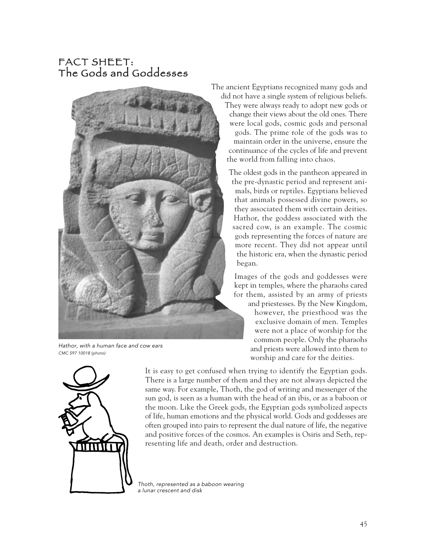# FACT SHEET: The Gods and Goddesses



Hathor, with a human face and cow ears CMC S97 10018 (photo)

The ancient Egyptians recognized many gods and did not have a single system of religious beliefs. They were always ready to adopt new gods or change their views about the old ones. There were local gods, cosmic gods and personal gods. The prime role of the gods was to maintain order in the universe, ensure the continuance of the cycles of life and prevent the world from falling into chaos.

> The oldest gods in the pantheon appeared in the pre-dynastic period and represent animals, birds or reptiles. Egyptians believed that animals possessed divine powers, so they associated them with certain deities. Hathor, the goddess associated with the sacred cow, is an example. The cosmic gods representing the forces of nature are more recent. They did not appear until the historic era, when the dynastic period began.

Images of the gods and goddesses were kept in temples, where the pharaohs cared for them, assisted by an army of priests

and priestesses. By the New Kingdom, however, the priesthood was the exclusive domain of men. Temples were not a place of worship for the common people. Only the pharaohs and priests were allowed into them to worship and care for the deities.



It is easy to get confused when trying to identify the Egyptian gods. There is a large number of them and they are not always depicted the same way. For example, Thoth, the god of writing and messenger of the sun god, is seen as a human with the head of an ibis, or as a baboon or the moon. Like the Greek gods, the Egyptian gods symbolized aspects of life, human emotions and the physical world. Gods and goddesses are often grouped into pairs to represent the dual nature of life, the negative and positive forces of the cosmos. An examples is Osiris and Seth, representing life and death, order and destruction.

Thoth, represented as a baboon wearing a lunar crescent and disk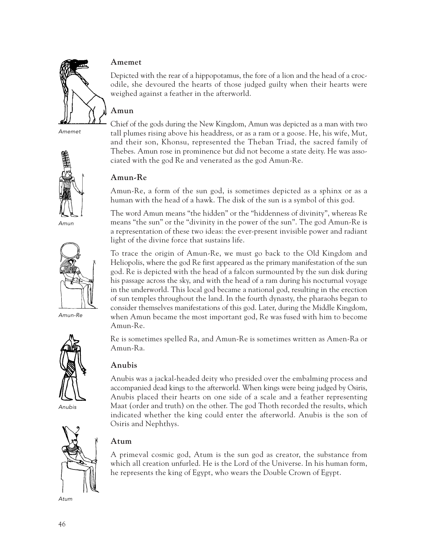

Amemet



Amun



Amun-Re



Anubis



Atum

#### **Amemet**

Depicted with the rear of a hippopotamus, the fore of a lion and the head of a crocodile, she devoured the hearts of those judged guilty when their hearts were weighed against a feather in the afterworld.

#### **Amun**

Chief of the gods during the New Kingdom, Amun was depicted as a man with two tall plumes rising above his headdress, or as a ram or a goose. He, his wife, Mut, and their son, Khonsu, represented the Theban Triad, the sacred family of Thebes. Amun rose in prominence but did not become a state deity. He was associated with the god Re and venerated as the god Amun-Re.

#### **Amun-Re**

Amun-Re, a form of the sun god, is sometimes depicted as a sphinx or as a human with the head of a hawk. The disk of the sun is a symbol of this god.

The word Amun means "the hidden" or the "hiddenness of divinity", whereas Re means "the sun" or the "divinity in the power of the sun". The god Amun-Re is a representation of these two ideas: the ever-present invisible power and radiant light of the divine force that sustains life.

To trace the origin of Amun-Re, we must go back to the Old Kingdom and Heliopolis, where the god Re first appeared as the primary manifestation of the sun god. Re is depicted with the head of a falcon surmounted by the sun disk during his passage across the sky, and with the head of a ram during his nocturnal voyage in the underworld. This local god became a national god, resulting in the erection of sun temples throughout the land. In the fourth dynasty, the pharaohs began to consider themselves manifestations of this god. Later, during the Middle Kingdom, when Amun became the most important god, Re was fused with him to become Amun-Re.

Re is sometimes spelled Ra, and Amun-Re is sometimes written as Amen-Ra or Amun-Ra.

#### **Anubis**

Anubis was a jackal-headed deity who presided over the embalming process and accompanied dead kings to the afterworld. When kings were being judged by Osiris, Anubis placed their hearts on one side of a scale and a feather representing Maat (order and truth) on the other. The god Thoth recorded the results, which indicated whether the king could enter the afterworld. Anubis is the son of Osiris and Nephthys.

#### **Atum**

A primeval cosmic god, Atum is the sun god as creator, the substance from which all creation unfurled. He is the Lord of the Universe. In his human form, he represents the king of Egypt, who wears the Double Crown of Egypt.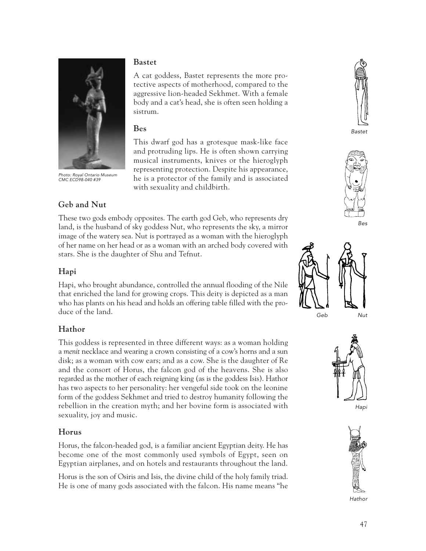

Photo: Royal Ontario Museum CMC ECD98-040 #39

**Geb and Nut** 

#### **Bastet**

A cat goddess, Bastet represents the more protective aspects of motherhood, compared to the aggressive lion-headed Sekhmet. With a female body and a cat's head, she is often seen holding a sistrum.

#### **Bes**

This dwarf god has a grotesque mask-like face and protruding lips. He is often shown carrying musical instruments, knives or the hieroglyph representing protection. Despite his appearance, he is a protector of the family and is associated with sexuality and childbirth.

These two gods embody opposites. The earth god Geb, who represents dry land, is the husband of sky goddess Nut, who represents the sky, a mirror image of the watery sea. Nut is portrayed as a woman with the hieroglyph of her name on her head or as a woman with an arched body covered with stars. She is the daughter of Shu and Tefnut.

### **Hapi**

Hapi, who brought abundance, controlled the annual flooding of the Nile that enriched the land for growing crops. This deity is depicted as a man who has plants on his head and holds an offering table filled with the produce of the land.

## **Hathor**

This goddess is represented in three different ways: as a woman holding a *menit* necklace and wearing a crown consisting of a cow's horns and a sun disk; as a woman with cow ears; and as a cow. She is the daughter of Re and the consort of Horus, the falcon god of the heavens. She is also regarded as the mother of each reigning king (as is the goddess Isis). Hathor has two aspects to her personality: her vengeful side took on the leonine form of the goddess Sekhmet and tried to destroy humanity following the rebellion in the creation myth; and her bovine form is associated with sexuality, joy and music.

#### **Horus**

Horus, the falcon-headed god, is a familiar ancient Egyptian deity. He has become one of the most commonly used symbols of Egypt, seen on Egyptian airplanes, and on hotels and restaurants throughout the land.

Horus is the son of Osiris and Isis, the divine child of the holy family triad. He is one of many gods associated with the falcon. His name means "he



Bastet



Bes





Hapi

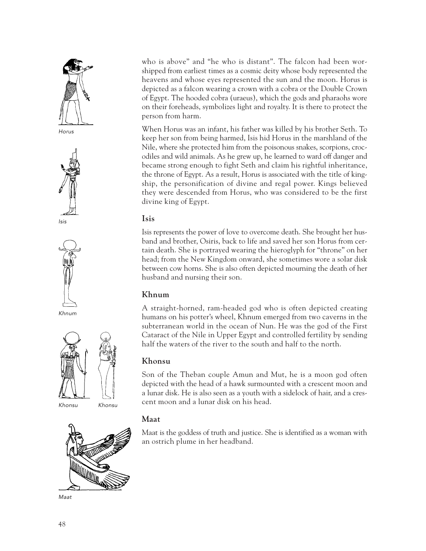









Khnum



Khonsu Khonsu



Maat

who is above" and "he who is distant". The falcon had been worshipped from earliest times as a cosmic deity whose body represented the heavens and whose eyes represented the sun and the moon. Horus is depicted as a falcon wearing a crown with a cobra or the Double Crown of Egypt. The hooded cobra (uraeus), which the gods and pharaohs wore on their foreheads, symbolizes light and royalty. It is there to protect the person from harm.

When Horus was an infant, his father was killed by his brother Seth. To keep her son from being harmed, Isis hid Horus in the marshland of the Nile, where she protected him from the poisonous snakes, scorpions, crocodiles and wild animals. As he grew up, he learned to ward off danger and became strong enough to fight Seth and claim his rightful inheritance, the throne of Egypt. As a result, Horus is associated with the title of kingship, the personification of divine and regal power. Kings believed they were descended from Horus, who was considered to be the first divine king of Egypt.

#### **Isis**

Isis represents the power of love to overcome death. She brought her husband and brother, Osiris, back to life and saved her son Horus from certain death. She is portrayed wearing the hieroglyph for "throne" on her head; from the New Kingdom onward, she sometimes wore a solar disk between cow horns. She is also often depicted mourning the death of her husband and nursing their son.

#### **Khnum**

A straight-horned, ram-headed god who is often depicted creating humans on his potter's wheel, Khnum emerged from two caverns in the subterranean world in the ocean of Nun. He was the god of the First Cataract of the Nile in Upper Egypt and controlled fertility by sending half the waters of the river to the south and half to the north.

#### **Khonsu**

Son of the Theban couple Amun and Mut, he is a moon god often depicted with the head of a hawk surmounted with a crescent moon and a lunar disk. He is also seen as a youth with a sidelock of hair, and a crescent moon and a lunar disk on his head.

#### **Maat**

Maat is the goddess of truth and justice. She is identified as a woman with an ostrich plume in her headband.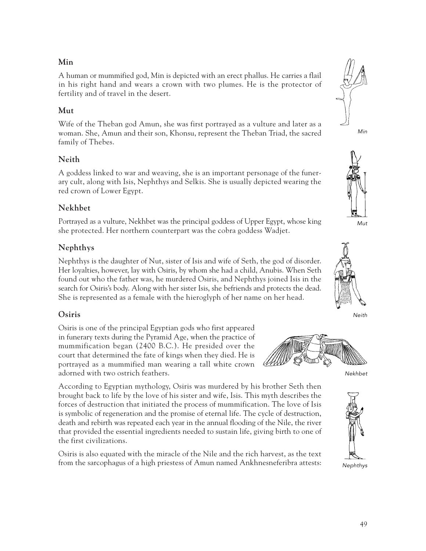#### **Min**

A human or mummified god, Min is depicted with an erect phallus. He carries a flail in his right hand and wears a crown with two plumes. He is the protector of fertility and of travel in the desert.

#### **Mut**

Wife of the Theban god Amun, she was first portrayed as a vulture and later as a woman. She, Amun and their son, Khonsu, represent the Theban Triad, the sacred family of Thebes.

#### **Neith**

A goddess linked to war and weaving, she is an important personage of the funerary cult, along with Isis, Nephthys and Selkis. She is usually depicted wearing the red crown of Lower Egypt.

#### **Nekhbet**

Portrayed as a vulture, Nekhbet was the principal goddess of Upper Egypt, whose king she protected. Her northern counterpart was the cobra goddess Wadjet.

#### **Nephthys**

Nephthys is the daughter of Nut, sister of Isis and wife of Seth, the god of disorder. Her loyalties, however, lay with Osiris, by whom she had a child, Anubis. When Seth found out who the father was, he murdered Osiris, and Nephthys joined Isis in the search for Osiris's body. Along with her sister Isis, she befriends and protects the dead. She is represented as a female with the hieroglyph of her name on her head.

#### **Osiris**

Osiris is one of the principal Egyptian gods who first appeared in funerary texts during the Pyramid Age, when the practice of mummification began (2400 B.C.). He presided over the court that determined the fate of kings when they died. He is portrayed as a mummified man wearing a tall white crown adorned with two ostrich feathers.

According to Egyptian mythology, Osiris was murdered by his brother Seth then brought back to life by the love of his sister and wife, Isis. This myth describes the forces of destruction that initiated the process of mummification. The love of Isis is symbolic of regeneration and the promise of eternal life. The cycle of destruction, death and rebirth was repeated each year in the annual flooding of the Nile, the river that provided the essential ingredients needed to sustain life, giving birth to one of the first civilizations.

Osiris is also equated with the miracle of the Nile and the rich harvest, as the text from the sarcophagus of a high priestess of Amun named Ankhnesneferibra attests:











Neith



Nekhbet



Nephthys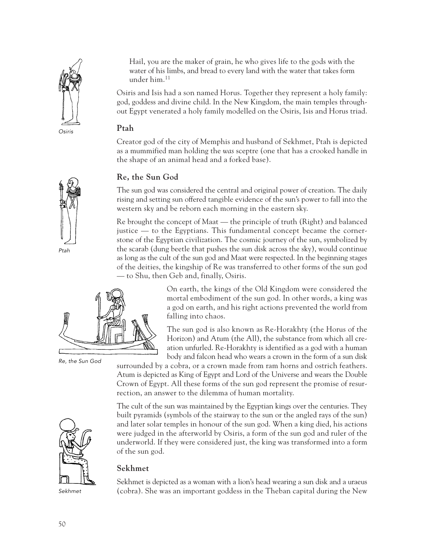

Hail, you are the maker of grain, he who gives life to the gods with the water of his limbs, and bread to every land with the water that takes form under him.11

Osiris and Isis had a son named Horus. Together they represent a holy family: god, goddess and divine child. In the New Kingdom, the main temples throughout Egypt venerated a holy family modelled on the Osiris, Isis and Horus triad.

#### **Ptah**

Creator god of the city of Memphis and husband of Sekhmet, Ptah is depicted as a mummified man holding the *was* sceptre (one that has a crooked handle in the shape of an animal head and a forked base).

#### **Re, the Sun God**

The sun god was considered the central and original power of creation. The daily rising and setting sun offered tangible evidence of the sun's power to fall into the western sky and be reborn each morning in the eastern sky.

Re brought the concept of Maat — the principle of truth (Right) and balanced justice — to the Egyptians. This fundamental concept became the cornerstone of the Egyptian civilization. The cosmic journey of the sun, symbolized by the scarab (dung beetle that pushes the sun disk across the sky), would continue as long as the cult of the sun god and Maat were respected. In the beginning stages of the deities, the kingship of Re was transferred to other forms of the sun god — to Shu, then Geb and, finally, Osiris.



Re, the Sun God

On earth, the kings of the Old Kingdom were considered the mortal embodiment of the sun god. In other words, a king was a god on earth, and his right actions prevented the world from falling into chaos.

The sun god is also known as Re-Horakhty (the Horus of the Horizon) and Atum (the All), the substance from which all creation unfurled. Re-Horakhty is identified as a god with a human body and falcon head who wears a crown in the form of a sun disk

surrounded by a cobra, or a crown made from ram horns and ostrich feathers. Atum is depicted as King of Egypt and Lord of the Universe and wears the Double Crown of Egypt. All these forms of the sun god represent the promise of resurrection, an answer to the dilemma of human mortality.

The cult of the sun was maintained by the Egyptian kings over the centuries. They built pyramids (symbols of the stairway to the sun or the angled rays of the sun) and later solar temples in honour of the sun god. When a king died, his actions were judged in the afterworld by Osiris, a form of the sun god and ruler of the underworld. If they were considered just, the king was transformed into a form

Sekhmet

of the sun god. **Sekhmet**

Sekhmet is depicted as a woman with a lion's head wearing a sun disk and a uraeus (cobra). She was an important goddess in the Theban capital during the New



Ptah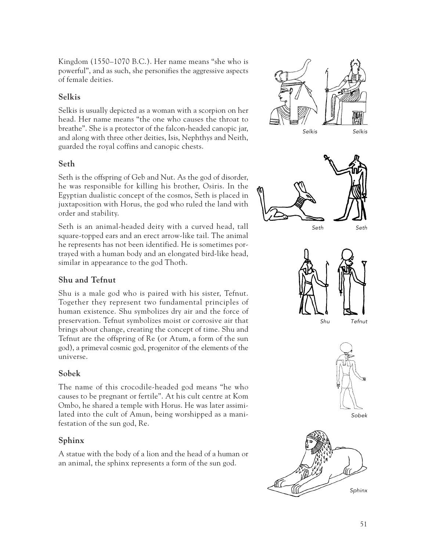Kingdom (1550–1070 B.C.). Her name means "she who is powerful", and as such, she personifies the aggressive aspects of female deities.

#### **Selkis**

Selkis is usually depicted as a woman with a scorpion on her head. Her name means "the one who causes the throat to breathe". She is a protector of the falcon-headed canopic jar, and along with three other deities, Isis, Nephthys and Neith, guarded the royal coffins and canopic chests.

#### **Seth**

Seth is the offspring of Geb and Nut. As the god of disorder, he was responsible for killing his brother, Osiris. In the Egyptian dualistic concept of the cosmos, Seth is placed in juxtaposition with Horus, the god who ruled the land with order and stability.

Seth is an animal-headed deity with a curved head, tall square-topped ears and an erect arrow-like tail. The animal he represents has not been identified. He is sometimes portrayed with a human body and an elongated bird-like head, similar in appearance to the god Thoth.

#### **Shu and Tefnut**

Shu is a male god who is paired with his sister, Tefnut. Together they represent two fundamental principles of human existence. Shu symbolizes dry air and the force of preservation. Tefnut symbolizes moist or corrosive air that brings about change, creating the concept of time. Shu and Tefnut are the offspring of Re (or Atum, a form of the sun god), a primeval cosmic god, progenitor of the elements of the universe.

#### **Sobek**

The name of this crocodile-headed god means "he who causes to be pregnant or fertile". At his cult centre at Kom Ombo, he shared a temple with Horus. He was later assimilated into the cult of Amun, being worshipped as a manifestation of the sun god, Re.

#### **Sphinx**

A statue with the body of a lion and the head of a human or an animal, the sphinx represents a form of the sun god.